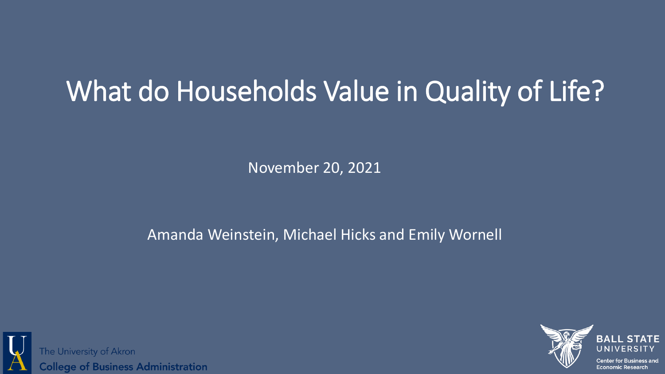# What do Households Value in Quality of Life?

November 20, 2021

#### Amanda Weinstein, Michael Hicks and Emily Wornell



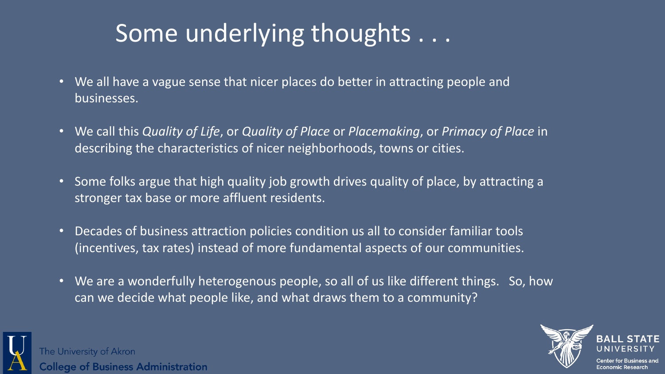# Some underlying thoughts . . .

- We all have a vague sense that nicer places do better in attracting people and businesses.
- We call this *Quality of Life*, or *Quality of Place* or *Placemaking*, or *Primacy of Place* in describing the characteristics of nicer neighborhoods, towns or cities.
- Some folks argue that high quality job growth drives quality of place, by attracting a stronger tax base or more affluent residents.
- Decades of business attraction policies condition us all to consider familiar tools (incentives, tax rates) instead of more fundamental aspects of our communities.
- We are a wonderfully heterogenous people, so all of us like different things. So, how can we decide what people like, and what draws them to a community?



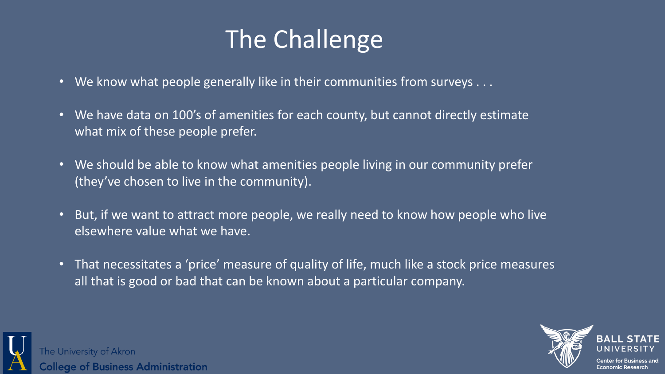# The Challenge

- We know what people generally like in their communities from surveys . . .
- We have data on 100's of amenities for each county, but cannot directly estimate what mix of these people prefer.
- We should be able to know what amenities people living in our community prefer (they've chosen to live in the community).
- But, if we want to attract more people, we really need to know how people who live elsewhere value what we have.
- That necessitates a 'price' measure of quality of life, much like a stock price measures all that is good or bad that can be known about a particular company.



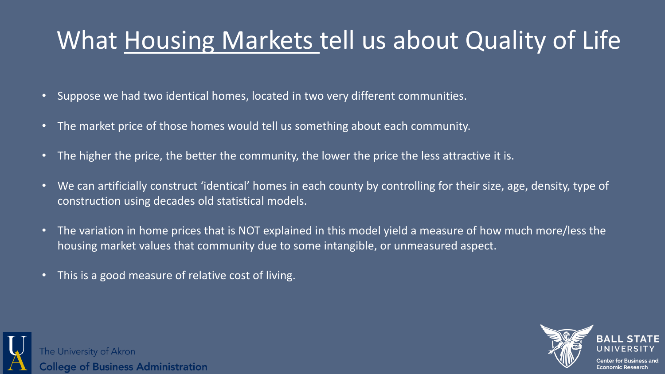# What Housing Markets tell us about Quality of Life

- Suppose we had two identical homes, located in two very different communities.
- The market price of those homes would tell us something about each community.
- The higher the price, the better the community, the lower the price the less attractive it is.
- We can artificially construct 'identical' homes in each county by controlling for their size, age, density, type of construction using decades old statistical models.
- The variation in home prices that is NOT explained in this model yield a measure of how much more/less the housing market values that community due to some intangible, or unmeasured aspect.
- This is a good measure of relative cost of living.



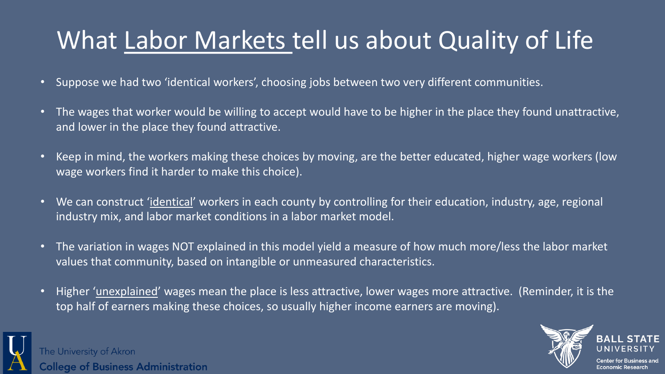# What Labor Markets tell us about Quality of Life

- Suppose we had two 'identical workers', choosing jobs between two very different communities.
- The wages that worker would be willing to accept would have to be higher in the place they found unattractive, and lower in the place they found attractive.
- Keep in mind, the workers making these choices by moving, are the better educated, higher wage workers (low wage workers find it harder to make this choice).
- We can construct 'identical' workers in each county by controlling for their education, industry, age, regional industry mix, and labor market conditions in a labor market model.
- The variation in wages NOT explained in this model yield a measure of how much more/less the labor market values that community, based on intangible or unmeasured characteristics.
- Higher 'unexplained' wages mean the place is less attractive, lower wages more attractive. (Reminder, it is the top half of earners making these choices, so usually higher income earners are moving).



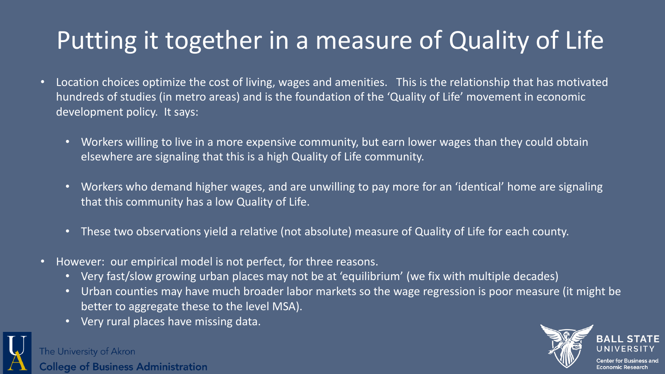# Putting it together in a measure of Quality of Life

- Location choices optimize the cost of living, wages and amenities. This is the relationship that has motivated hundreds of studies (in metro areas) and is the foundation of the 'Quality of Life' movement in economic development policy. It says:
	- Workers willing to live in a more expensive community, but earn lower wages than they could obtain elsewhere are signaling that this is a high Quality of Life community.
	- Workers who demand higher wages, and are unwilling to pay more for an 'identical' home are signaling that this community has a low Quality of Life.
	- These two observations yield a relative (not absolute) measure of Quality of Life for each county.
- However: our empirical model is not perfect, for three reasons.
	- Very fast/slow growing urban places may not be at 'equilibrium' (we fix with multiple decades)
	- Urban counties may have much broader labor markets so the wage regression is poor measure (it might be better to aggregate these to the level MSA).
	- Very rural places have missing data.



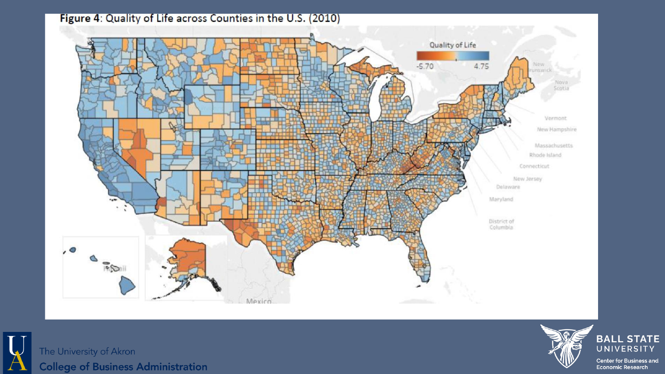





**BALL STATE** UNIVERSITY **Center for Business and**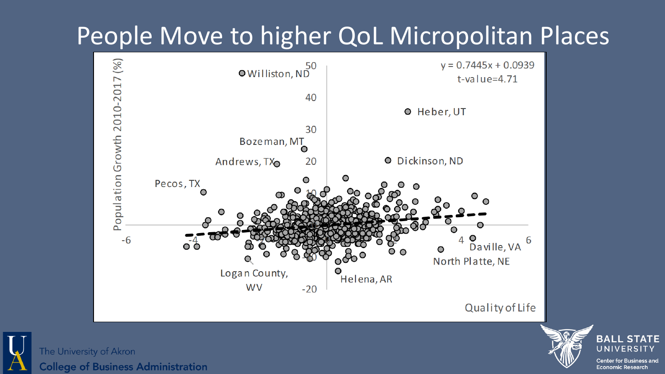# People Move to higher QoL Micropolitan Places





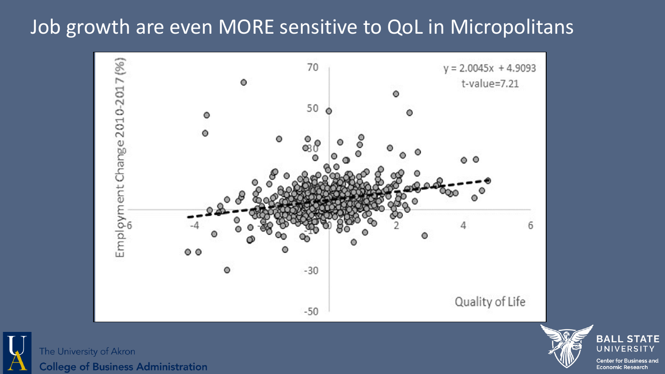### Job growth are even MORE sensitive to QoL in Micropolitans



The University of Akron **College of Business Administration** 

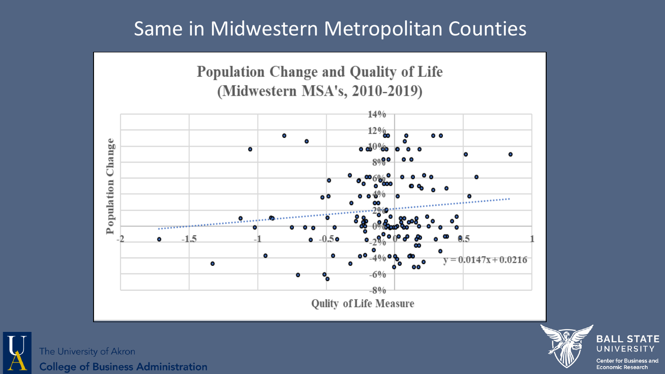### Same in Midwestern Metropolitan Counties





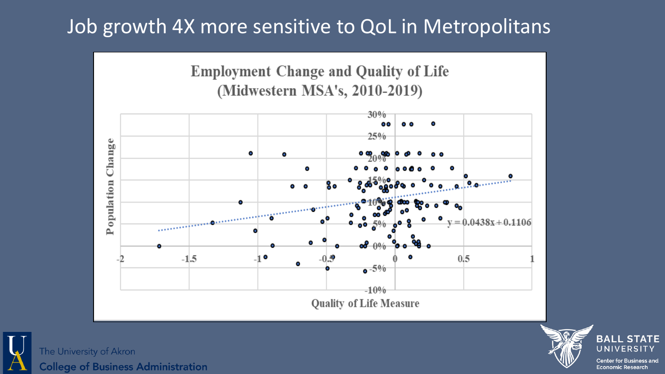### Job growth 4X more sensitive to QoL in Metropolitans





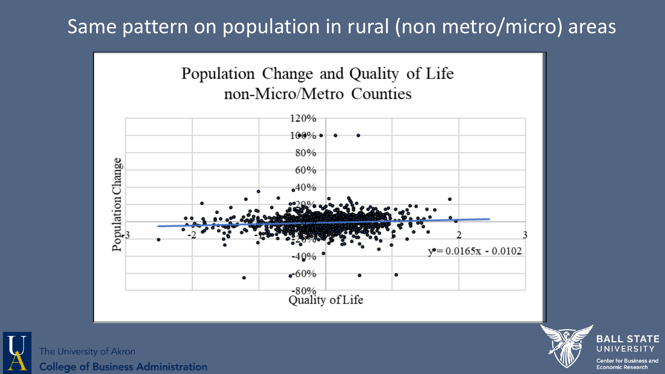### Same pattern on population in rural (non metro/micro) areas





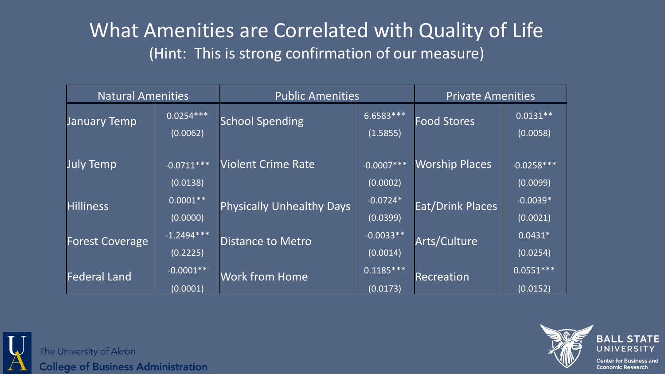### What Amenities are Correlated with Quality of Life (Hint: This is strong confirmation of our measure)

| <b>Natural Amenities</b> |                          | <b>Public Amenities</b>          |                                     | <b>Private Amenities</b> |                          |
|--------------------------|--------------------------|----------------------------------|-------------------------------------|--------------------------|--------------------------|
| <b>January Temp</b>      | $0.0254***$<br>(0.0062)  | <b>School Spending</b>           | $6.6583***$<br>(1.5855)             | <b>Food Stores</b>       | $0.0131**$<br>(0.0058)   |
| <b>July Temp</b>         | $-0.0711***$<br>(0.0138) | <b>Violent Crime Rate</b>        | $\overline{-0.0007***}$<br>(0.0002) | <b>Worship Places</b>    | $-0.0258***$<br>(0.0099) |
| <b>Hilliness</b>         | $0.0001**$<br>(0.0000)   | <b>Physically Unhealthy Days</b> | $-0.0724*$<br>(0.0399)              | <b>Eat/Drink Places</b>  | $-0.0039*$<br>(0.0021)   |
| <b>Forest Coverage</b>   | $-1.2494***$<br>(0.2225) | <b>Distance to Metro</b>         | $-0.0033**$<br>(0.0014)             | Arts/Culture             | $0.0431*$<br>(0.0254)    |
| <b>Federal Land</b>      | $-0.0001**$<br>(0.0001)  | <b>Work from Home</b>            | $\overline{0.1185***}$<br>(0.0173)  | Recreation               | $0.0551***$<br>(0.0152)  |